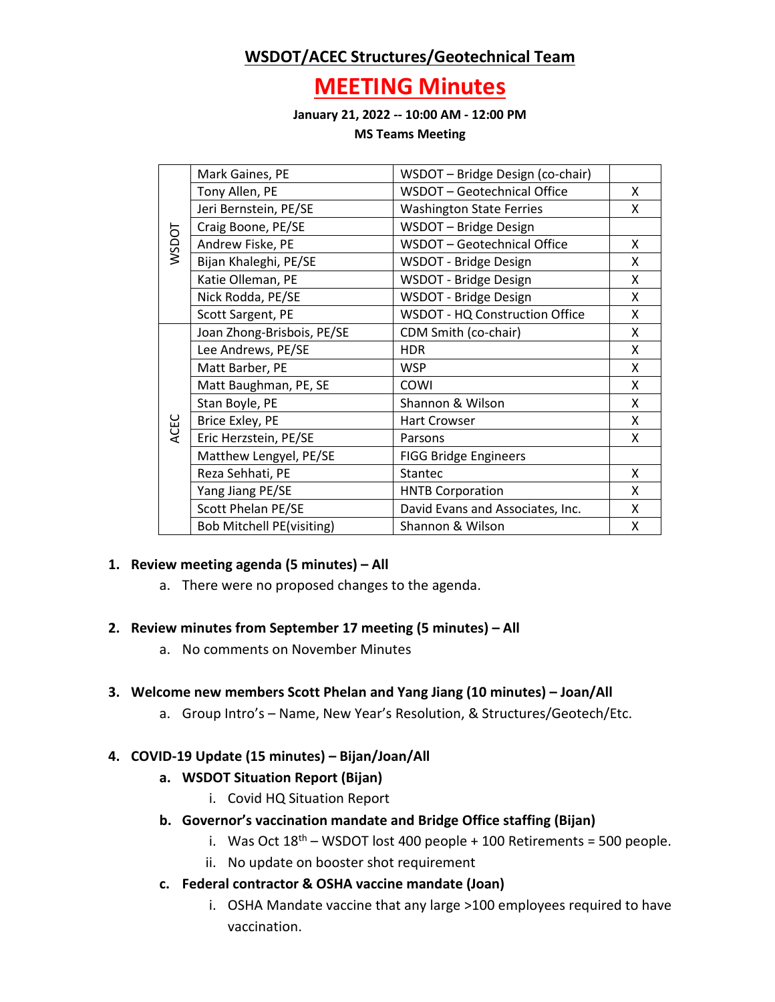# **WSDOT/ACEC Structures/Geotechnical Team**

# **MEETING Minutes**

**January 21, 2022 -- 10:00 AM - 12:00 PM**

**MS Teams Meeting**

| WSDOT | Mark Gaines, PE                  | WSDOT - Bridge Design (co-chair)      |   |
|-------|----------------------------------|---------------------------------------|---|
|       | Tony Allen, PE                   | WSDOT - Geotechnical Office           | X |
|       | Jeri Bernstein, PE/SE            | <b>Washington State Ferries</b>       | x |
|       | Craig Boone, PE/SE               | WSDOT - Bridge Design                 |   |
|       | Andrew Fiske, PE                 | WSDOT - Geotechnical Office           | X |
|       | Bijan Khaleghi, PE/SE            | WSDOT - Bridge Design                 | x |
|       | Katie Olleman, PE                | WSDOT - Bridge Design                 | X |
|       | Nick Rodda, PE/SE                | WSDOT - Bridge Design                 | x |
|       | Scott Sargent, PE                | <b>WSDOT - HQ Construction Office</b> | X |
| ACEC  | Joan Zhong-Brisbois, PE/SE       | CDM Smith (co-chair)                  | x |
|       | Lee Andrews, PE/SE               | <b>HDR</b>                            | X |
|       | Matt Barber, PE                  | <b>WSP</b>                            | x |
|       | Matt Baughman, PE, SE            | <b>COWI</b>                           | X |
|       | Stan Boyle, PE                   | Shannon & Wilson                      | x |
|       | Brice Exley, PE                  | <b>Hart Crowser</b>                   | x |
|       | Eric Herzstein, PE/SE            | Parsons                               | X |
|       | Matthew Lengyel, PE/SE           | <b>FIGG Bridge Engineers</b>          |   |
|       | Reza Sehhati, PE                 | Stantec                               | X |
|       | Yang Jiang PE/SE                 | <b>HNTB Corporation</b>               | X |
|       | Scott Phelan PE/SE               | David Evans and Associates, Inc.      | x |
|       | <b>Bob Mitchell PE(visiting)</b> | Shannon & Wilson                      | Χ |

# **1. Review meeting agenda (5 minutes) – All**

a. There were no proposed changes to the agenda.

#### **2. Review minutes from September 17 meeting (5 minutes) – All**

a. No comments on November Minutes

# **3. Welcome new members Scott Phelan and Yang Jiang (10 minutes) – Joan/All**

a. Group Intro's – Name, New Year's Resolution, & Structures/Geotech/Etc.

# **4. COVID-19 Update (15 minutes) – Bijan/Joan/All**

- **a. WSDOT Situation Report (Bijan)**
	- i. Covid HQ Situation Report

# **b. Governor's vaccination mandate and Bridge Office staffing (Bijan)**

- i. Was Oct  $18<sup>th</sup>$  WSDOT lost 400 people + 100 Retirements = 500 people.
- ii. No update on booster shot requirement
- **c. Federal contractor & OSHA vaccine mandate (Joan)**
	- i. OSHA Mandate vaccine that any large >100 employees required to have vaccination.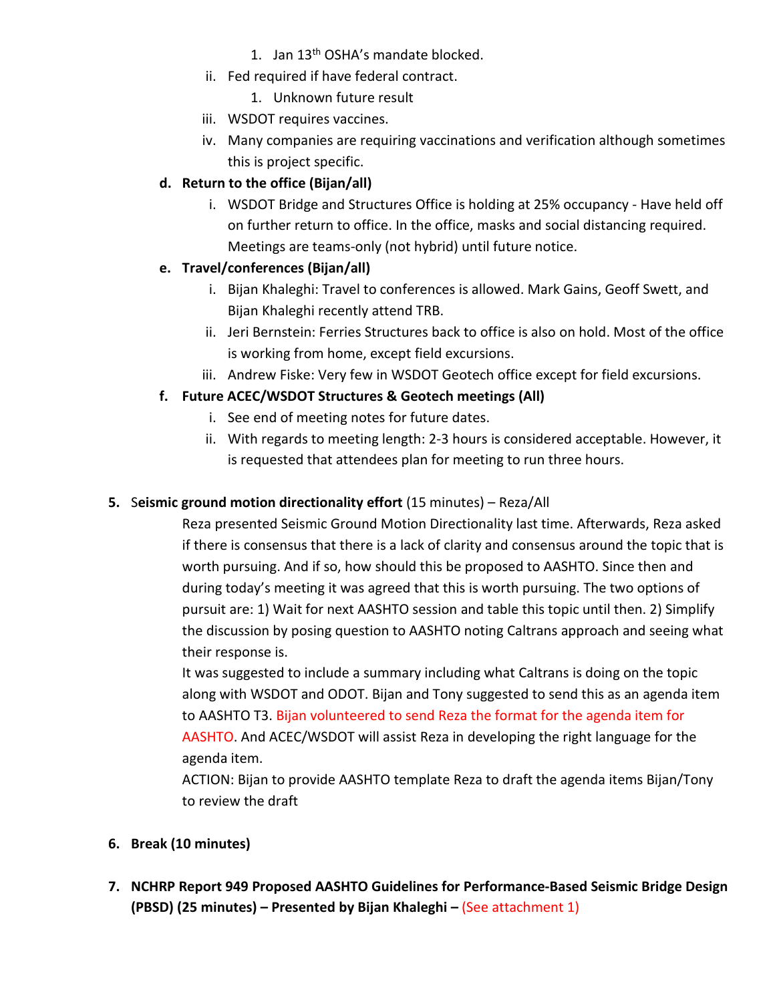- 1. Jan 13th OSHA's mandate blocked.
- ii. Fed required if have federal contract.
	- 1. Unknown future result
- iii. WSDOT requires vaccines.
- iv. Many companies are requiring vaccinations and verification although sometimes this is project specific.

# **d. Return to the office (Bijan/all)**

i. WSDOT Bridge and Structures Office is holding at 25% occupancy - Have held off on further return to office. In the office, masks and social distancing required. Meetings are teams-only (not hybrid) until future notice.

# **e. Travel/conferences (Bijan/all)**

- i. Bijan Khaleghi: Travel to conferences is allowed. Mark Gains, Geoff Swett, and Bijan Khaleghi recently attend TRB.
- ii. Jeri Bernstein: Ferries Structures back to office is also on hold. Most of the office is working from home, except field excursions.
- iii. Andrew Fiske: Very few in WSDOT Geotech office except for field excursions.

# **f. Future ACEC/WSDOT Structures & Geotech meetings (All)**

- i. See end of meeting notes for future dates.
- ii. With regards to meeting length: 2-3 hours is considered acceptable. However, it is requested that attendees plan for meeting to run three hours.

# **5.** S**eismic ground motion directionality effort** (15 minutes) – Reza/All

Reza presented Seismic Ground Motion Directionality last time. Afterwards, Reza asked if there is consensus that there is a lack of clarity and consensus around the topic that is worth pursuing. And if so, how should this be proposed to AASHTO. Since then and during today's meeting it was agreed that this is worth pursuing. The two options of pursuit are: 1) Wait for next AASHTO session and table this topic until then. 2) Simplify the discussion by posing question to AASHTO noting Caltrans approach and seeing what their response is.

It was suggested to include a summary including what Caltrans is doing on the topic along with WSDOT and ODOT. Bijan and Tony suggested to send this as an agenda item to AASHTO T3. Bijan volunteered to send Reza the format for the agenda item for AASHTO. And ACEC/WSDOT will assist Reza in developing the right language for the agenda item.

ACTION: Bijan to provide AASHTO template Reza to draft the agenda items Bijan/Tony to review the draft

- **6. Break (10 minutes)**
- **7. NCHRP Report 949 Proposed AASHTO Guidelines for Performance-Based Seismic Bridge Design (PBSD) (25 minutes) – Presented by Bijan Khaleghi –** (See attachment 1)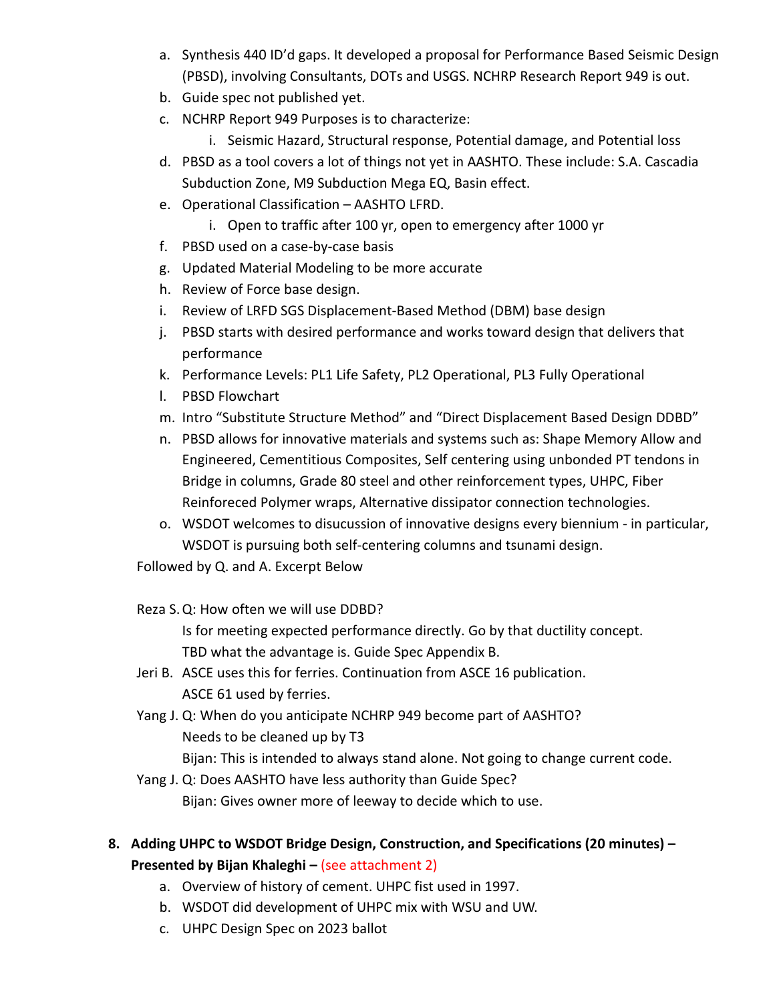- a. Synthesis 440 ID'd gaps. It developed a proposal for Performance Based Seismic Design (PBSD), involving Consultants, DOTs and USGS. NCHRP Research Report 949 is out.
- b. Guide spec not published yet.
- c. NCHRP Report 949 Purposes is to characterize:
	- i. Seismic Hazard, Structural response, Potential damage, and Potential loss
- d. PBSD as a tool covers a lot of things not yet in AASHTO. These include: S.A. Cascadia Subduction Zone, M9 Subduction Mega EQ, Basin effect.
- e. Operational Classification AASHTO LFRD.
	- i. Open to traffic after 100 yr, open to emergency after 1000 yr
- f. PBSD used on a case-by-case basis
- g. Updated Material Modeling to be more accurate
- h. Review of Force base design.
- i. Review of LRFD SGS Displacement-Based Method (DBM) base design
- j. PBSD starts with desired performance and works toward design that delivers that performance
- k. Performance Levels: PL1 Life Safety, PL2 Operational, PL3 Fully Operational
- l. PBSD Flowchart
- m. Intro "Substitute Structure Method" and "Direct Displacement Based Design DDBD"
- n. PBSD allows for innovative materials and systems such as: Shape Memory Allow and Engineered, Cementitious Composites, Self centering using unbonded PT tendons in Bridge in columns, Grade 80 steel and other reinforcement types, UHPC, Fiber Reinforeced Polymer wraps, Alternative dissipator connection technologies.
- o. WSDOT welcomes to disucussion of innovative designs every biennium in particular, WSDOT is pursuing both self-centering columns and tsunami design.

Followed by Q. and A. Excerpt Below

Reza S.Q: How often we will use DDBD?

Is for meeting expected performance directly. Go by that ductility concept. TBD what the advantage is. Guide Spec Appendix B.

- Jeri B. ASCE uses this for ferries. Continuation from ASCE 16 publication. ASCE 61 used by ferries.
- Yang J. Q: When do you anticipate NCHRP 949 become part of AASHTO? Needs to be cleaned up by T3

Bijan: This is intended to always stand alone. Not going to change current code.

- Yang J. Q: Does AASHTO have less authority than Guide Spec? Bijan: Gives owner more of leeway to decide which to use.
- **8. Adding UHPC to WSDOT Bridge Design, Construction, and Specifications (20 minutes) – Presented by Bijan Khaleghi –** (see attachment 2)
	- a. Overview of history of cement. UHPC fist used in 1997.
	- b. WSDOT did development of UHPC mix with WSU and UW.
	- c. UHPC Design Spec on 2023 ballot